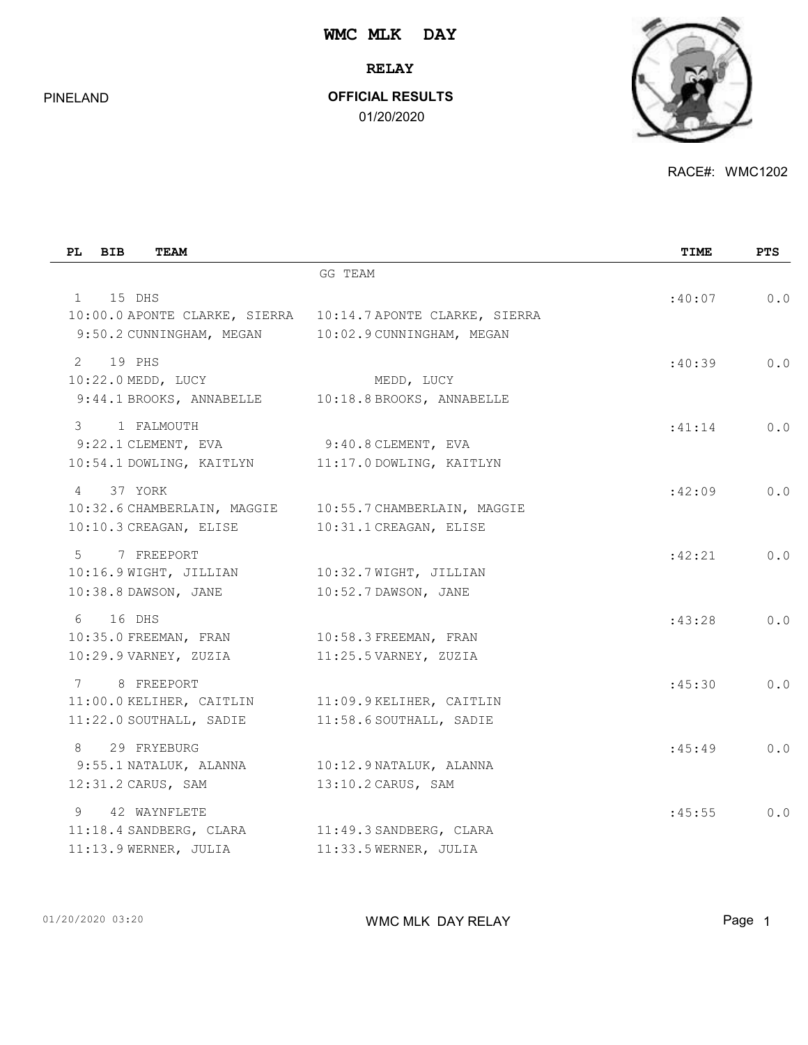**RELAY**

PINELAND

### **OFFICIAL RESULTS**

01/20/2020



RACE#: WMC1202

| <b>BIB</b><br>PL<br><b>TEAM</b>                                                                   |                                                               | TIME   | <b>PTS</b> |
|---------------------------------------------------------------------------------------------------|---------------------------------------------------------------|--------|------------|
|                                                                                                   | GG TEAM                                                       |        |            |
| 15 DHS<br>$1 \quad$<br>9:50.2 CUNNINGHAM, MEGAN 10:02.9 CUNNINGHAM, MEGAN                         | 10:00.0 APONTE CLARKE, SIERRA   10:14.7 APONTE CLARKE, SIERRA | :40:07 | 0.0        |
| $2^{\circ}$<br>19 PHS<br>10:22.0 MEDD, LUCY<br>9:44.1 BROOKS, ANNABELLE 10:18.8 BROOKS, ANNABELLE | MEDD, LUCY                                                    | :40:39 | 0.0        |
| 3<br>1 FALMOUTH<br>9:22.1 CLEMENT, EVA<br>10:54.1 DOWLING, KAITLYN                                | $9:40.8$ CLEMENT, EVA<br>11:17.0 DOWLING, KAITLYN             | :41:14 | 0.0        |
| 37 YORK<br>$\overline{4}$<br>10:32.6 CHAMBERLAIN, MAGGIE<br>10:10.3 CREAGAN, ELISE                | 10:55.7 CHAMBERLAIN, MAGGIE<br>10:31.1 CREAGAN, ELISE         | :42:09 | 0.0        |
| $5^{\circ}$<br>7 FREEPORT<br>10:16.9 WIGHT, JILLIAN<br>10:38.8 DAWSON, JANE                       | 10:32.7 WIGHT, JILLIAN<br>10:52.7 DAWSON, JANE                | :42:21 | 0.0        |
| 16 DHS<br>6<br>10:35.0 FREEMAN, FRAN<br>10:29.9 VARNEY, ZUZIA                                     | 10:58.3 FREEMAN, FRAN<br>11:25.5 VARNEY, ZUZIA                | :43:28 | 0.0        |
| 7 8 FREEPORT<br>11:00.0 KELIHER, CAITLIN 11:09.9 KELIHER, CAITLIN<br>11:22.0 SOUTHALL, SADIE      | 11:58.6 SOUTHALL, SADIE                                       | :45:30 | 0.0        |
| 8<br>29 FRYEBURG<br>9:55.1 NATALUK, ALANNA<br>12:31.2 CARUS, SAM                                  | 10:12.9 NATALUK, ALANNA<br>13:10.2 CARUS, SAM                 | :45:49 | 0.0        |
| 9<br>42 WAYNFLETE<br>11:18.4 SANDBERG, CLARA<br>11:13.9 WERNER, JULIA                             | 11:49.3 SANDBERG, CLARA<br>11:33.5 WERNER, JULIA              | :45:55 | 0.0        |

01/20/2020 03:20 **Page 1** WMC MLK DAY RELAY **WMC MUK DAY RELAY**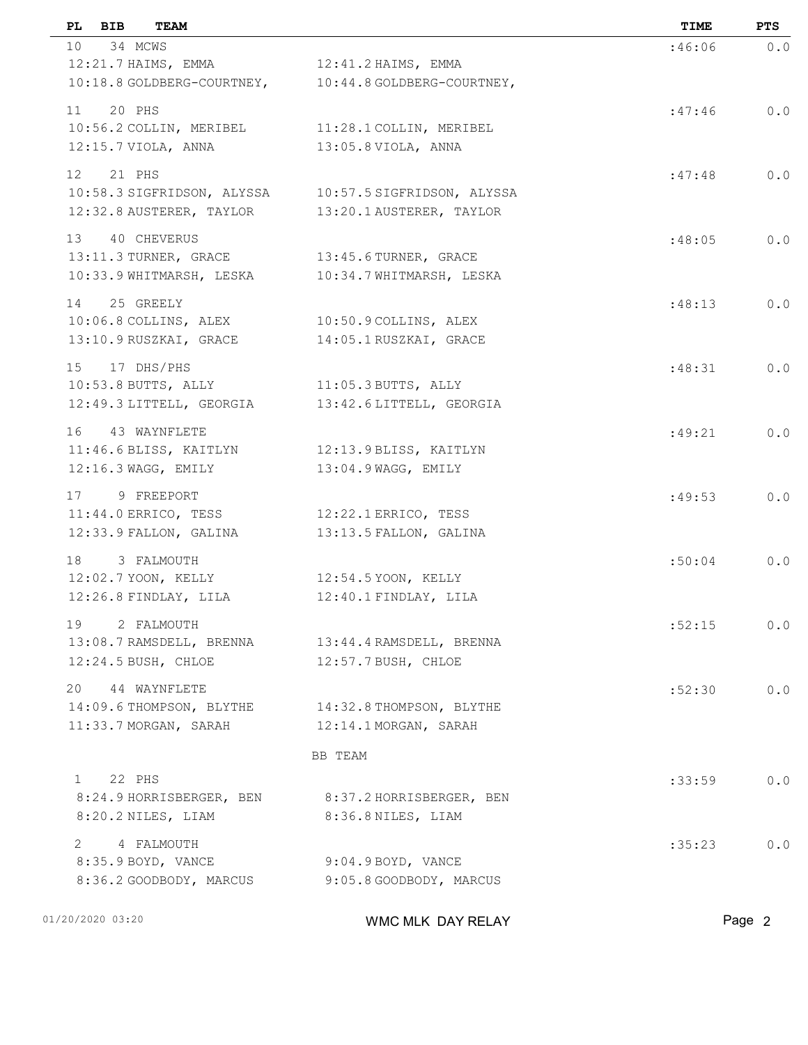| PL BIB<br><b>TEAM</b>                             |                            | TIME   | PTS    |
|---------------------------------------------------|----------------------------|--------|--------|
| 10 34 MCWS                                        |                            | :46:06 | 0.0    |
| 12:21.7 HAIMS, EMMA                               | $12:41.2$ HAIMS, EMMA      |        |        |
| 10:18.8 GOLDBERG-COURTNEY,                        | 10:44.8 GOLDBERG-COURTNEY, |        |        |
| 11 20 PHS                                         |                            | :47:46 | 0.0    |
| 10:56.2 COLLIN, MERIBEL                           | 11:28.1 COLLIN, MERIBEL    |        |        |
| 12:15.7 VIOLA, ANNA                               | $13:05.8$ VIOLA, ANNA      |        |        |
| 12 21 PHS                                         |                            | :47:48 | 0.0    |
| 10:58.3 SIGFRIDSON, ALYSSA                        | 10:57.5 SIGFRIDSON, ALYSSA |        |        |
| 12:32.8 AUSTERER, TAYLOR                          | 13:20.1 AUSTERER, TAYLOR   |        |        |
| 13 40 CHEVERUS                                    |                            | :48:05 | $0.0$  |
| 13:11.3 TURNER, GRACE                             | $13:45.6$ TURNER, GRACE    |        |        |
| 10:33.9 WHITMARSH, LESKA                          | 10:34.7 WHITMARSH, LESKA   |        |        |
| 25 GREELY<br>14                                   |                            | :48:13 | 0.0    |
| 10:06.8 COLLINS, ALEX                             | 10:50.9 COLLINS, ALEX      |        |        |
| 13:10.9 RUSZKAI, GRACE                            | 14:05.1 RUSZKAI, GRACE     |        |        |
|                                                   |                            |        |        |
| 15 17 DHS/PHS<br>10:53.8 BUTTS, ALLY              | $11:05.3$ BUTTS, ALLY      | :48:31 | $0.0$  |
| 12:49.3 LITTELL, GEORGIA                          | 13:42.6 LITTELL, GEORGIA   |        |        |
|                                                   |                            |        |        |
| 16 43 WAYNFLETE                                   |                            | :49:21 | 0.0    |
| 11:46.6 BLISS, KAITLYN                            | 12:13.9 BLISS, KAITLYN     |        |        |
| $12:16.3$ WAGG, EMILY                             | 13:04.9 WAGG, EMILY        |        |        |
| 17<br>9 FREEPORT                                  |                            | :49:53 | $0.0$  |
| $11:44.0$ ERRICO, TESS                            | 12:22.1 ERRICO, TESS       |        |        |
| 12:33.9 FALLON, GALINA                            | 13:13.5 FALLON, GALINA     |        |        |
| 18<br>3 FALMOUTH                                  |                            | :50:04 | 0.0    |
| 12:02.7 YOON, KELLY                               | 12:54.5 YOON, KELLY        |        |        |
| 12:26.8 FINDLAY, LILA                             | 12:40.1 FINDLAY, LILA      |        |        |
| 19<br>2 FALMOUTH                                  |                            | :52:15 | $0.0$  |
| 13:08.7 RAMSDELL, BRENNA 13:44.4 RAMSDELL, BRENNA |                            |        |        |
| $12:24.5$ BUSH, CHLOE                             | $12:57.7$ BUSH, CHLOE      |        |        |
| 20 44 WAYNFLETE                                   |                            | :52:30 | 0.0    |
| 14:09.6 THOMPSON, BLYTHE                          | 14:32.8 THOMPSON, BLYTHE   |        |        |
| 11:33.7 MORGAN, SARAH                             | 12:14.1 MORGAN, SARAH      |        |        |
|                                                   | BB TEAM                    |        |        |
| 1 22 PHS                                          |                            | :33:59 | $0.0$  |
| 8:24.9 HORRISBERGER, BEN                          | 8:37.2 HORRISBERGER, BEN   |        |        |
| 8:20.2 NILES, LIAM                                | 8:36.8 NILES, LIAM         |        |        |
| 2 4 FALMOUTH                                      |                            | :35:23 | $0.0$  |
| 8:35.9 BOYD, VANCE                                | 9:04.9 BOYD, VANCE         |        |        |
| 8:36.2 GOODBODY, MARCUS                           | 9:05.8 GOODBODY, MARCUS    |        |        |
|                                                   |                            |        |        |
| 01/20/2020 03:20                                  | WMC MLK DAY RELAY          |        | Page 2 |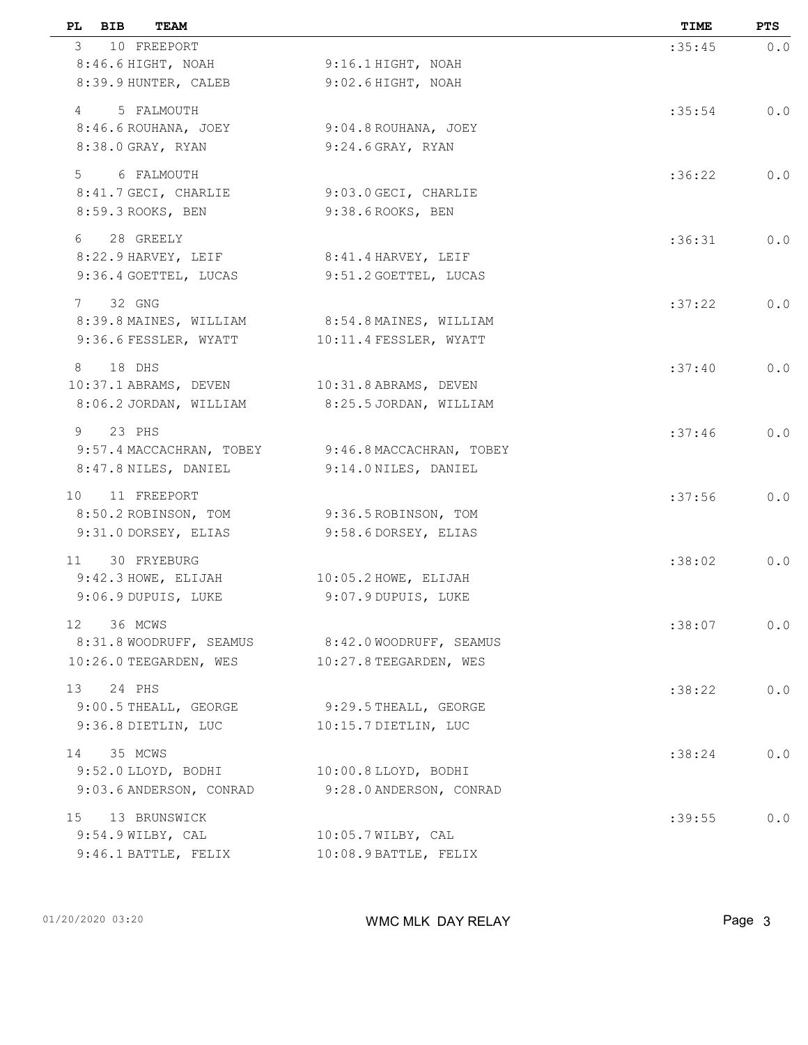| PL.<br>BIB<br>TEAM                               |                                                   | TIME   | <b>PTS</b> |
|--------------------------------------------------|---------------------------------------------------|--------|------------|
| 3 10 FREEPORT                                    |                                                   | :35:45 | 0.0        |
| 8:46.6 HIGHT, NOAH                               | $9:16.1$ HIGHT, NOAH                              |        |            |
| 8:39.9 HUNTER, CALEB                             | 9:02.6 HIGHT, NOAH                                |        |            |
| 5 FALMOUTH<br>$4 \quad$                          |                                                   | :35:54 | 0.0        |
| 8:46.6 ROUHANA, JOEY                             | 9:04.8 ROUHANA, JOEY                              |        |            |
| 8:38.0 GRAY, RYAN                                | $9:24.6$ GRAY, RYAN                               |        |            |
| 5 6 FALMOUTH                                     |                                                   | :36:22 | 0.0        |
| 8:41.7 GECI, CHARLIE                             | 9:03.0 GECI, CHARLIE                              |        |            |
| 8:59.3 ROOKS, BEN                                | 9:38.6 ROOKS, BEN                                 |        |            |
| 6<br>28 GREELY                                   |                                                   | :36:31 | 0.0        |
| 8:22.9 HARVEY, LEIF                              | 8:41.4 HARVEY, LEIF                               |        |            |
| 9:36.4 GOETTEL, LUCAS                            | 9:51.2 GOETTEL, LUCAS                             |        |            |
| 32 GNG<br>7                                      |                                                   | :37:22 | 0.0        |
| 8:39.8 MAINES, WILLIAM 8:54.8 MAINES, WILLIAM    |                                                   |        |            |
| 9:36.6 FESSLER, WYATT                            | 10:11.4 FESSLER, WYATT                            |        |            |
| 18 DHS                                           |                                                   |        |            |
| 8<br>10:37.1 ABRAMS, DEVEN 10:31.8 ABRAMS, DEVEN |                                                   | :37:40 | 0.0        |
| 8:06.2 JORDAN, WILLIAM                           | 8:25.5 JORDAN, WILLIAM                            |        |            |
|                                                  |                                                   |        |            |
| 9<br>23 PHS                                      | 9:57.4 MACCACHRAN, TOBEY 9:46.8 MACCACHRAN, TOBEY | :37:46 | 0.0        |
| 8:47.8 NILES, DANIEL                             | 9:14.0 NILES, DANIEL                              |        |            |
|                                                  |                                                   |        |            |
| 11 FREEPORT<br>10                                |                                                   | :37:56 | 0.0        |
| 8:50.2 ROBINSON, TOM<br>9:31.0 DORSEY, ELIAS     | 9:36.5 ROBINSON, TOM<br>9:58.6 DORSEY, ELIAS      |        |            |
|                                                  |                                                   |        |            |
| 30 FRYEBURG<br>11                                |                                                   | :38:02 | 0.0        |
| $9:42.3$ HOWE, ELIJAH                            | $10:05.2$ HOWE, ELIJAH                            |        |            |
| 9:06.9 DUPUIS, LUKE                              | 9:07.9 DUPUIS, LUKE                               |        |            |
| 36 MCWS<br>12                                    |                                                   | :38:07 | 0.0        |
| 8:31.8 WOODRUFF, SEAMUS                          | 8:42.0 WOODRUFF, SEAMUS                           |        |            |
| 10:26.0 TEEGARDEN, WES                           | 10:27.8 TEEGARDEN, WES                            |        |            |
| 24 PHS<br>13                                     |                                                   | :38:22 | 0.0        |
| 9:00.5 THEALL, GEORGE                            | $9:29.5$ THEALL, GEORGE                           |        |            |
| 9:36.8 DIETLIN, LUC                              | 10:15.7 DIETLIN, LUC                              |        |            |
| 35 MCWS<br>14                                    |                                                   | :38:24 | 0.0        |
| 9:52.0 LLOYD, BODHI                              | 10:00.8 LLOYD, BODHI                              |        |            |
| 9:03.6 ANDERSON, CONRAD                          | 9:28.0 ANDERSON, CONRAD                           |        |            |
| 13 BRUNSWICK<br>15                               |                                                   | :39:55 | 0.0        |
| 9:54.9 WILBY, CAL                                | $10:05.7$ WILBY, CAL                              |        |            |
| $9:46.1$ BATTLE, FELIX                           | 10:08.9 BATTLE, FELIX                             |        |            |
|                                                  |                                                   |        |            |

01/20/2020 03:20 **Page 3** WMC MLK DAY RELAY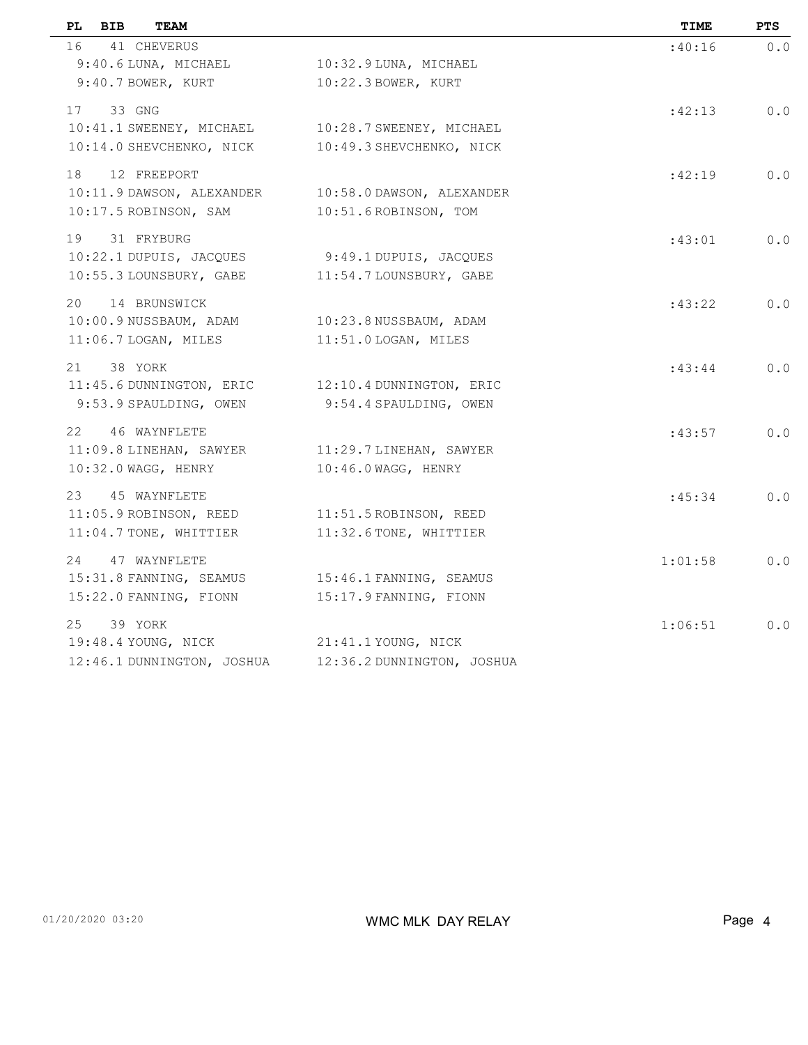| PL<br>BIB<br><b>TEAM</b>   |                            | TIME    | <b>PTS</b> |
|----------------------------|----------------------------|---------|------------|
| 16<br>41 CHEVERUS          |                            | :40:16  | 0.0        |
| 9:40.6 LUNA, MICHAEL       | 10:32.9 LUNA, MICHAEL      |         |            |
| 9:40.7 BOWER, KURT         | 10:22.3 BOWER, KURT        |         |            |
| 33 GNG<br>17               |                            | :42:13  | 0.0        |
| 10:41.1 SWEENEY, MICHAEL   | 10:28.7 SWEENEY, MICHAEL   |         |            |
| 10:14.0 SHEVCHENKO, NICK   | 10:49.3 SHEVCHENKO, NICK   |         |            |
| 18<br>12 FREEPORT          |                            | :42:19  | 0.0        |
| 10:11.9 DAWSON, ALEXANDER  | 10:58.0 DAWSON, ALEXANDER  |         |            |
| 10:17.5 ROBINSON, SAM      | 10:51.6 ROBINSON, TOM      |         |            |
| 19<br>31 FRYBURG           |                            | :43:01  | 0.0        |
| 10:22.1 DUPUIS, JACQUES    | 9:49.1 DUPUIS, JACQUES     |         |            |
| 10:55.3 LOUNSBURY, GABE    | 11:54.7 LOUNSBURY, GABE    |         |            |
| 20 14 BRUNSWICK            |                            | :43:22  | 0.0        |
| 10:00.9 NUSSBAUM, ADAM     | 10:23.8 NUSSBAUM, ADAM     |         |            |
| 11:06.7 LOGAN, MILES       | 11:51.0 LOGAN, MILES       |         |            |
| 21<br>38 YORK              |                            | :43:44  | $0.0$      |
| 11:45.6 DUNNINGTON, ERIC   | 12:10.4 DUNNINGTON, ERIC   |         |            |
| 9:53.9 SPAULDING, OWEN     | 9:54.4 SPAULDING, OWEN     |         |            |
| 22<br>46 WAYNFLETE         |                            | :43:57  | 0.0        |
| 11:09.8 LINEHAN, SAWYER    | 11:29.7 LINEHAN, SAWYER    |         |            |
| 10:32.0 WAGG, HENRY        | 10:46.0 WAGG, HENRY        |         |            |
| 23 45 WAYNFLETE            |                            | :45:34  | 0.0        |
| 11:05.9 ROBINSON, REED     | 11:51.5 ROBINSON, REED     |         |            |
| 11:04.7 TONE, WHITTIER     | 11:32.6 TONE, WHITTIER     |         |            |
| 24<br>47 WAYNFLETE         |                            | 1:01:58 | 0.0        |
| 15:31.8 FANNING, SEAMUS    | 15:46.1 FANNING, SEAMUS    |         |            |
| 15:22.0 FANNING, FIONN     | 15:17.9 FANNING, FIONN     |         |            |
| 25<br>39 YORK              |                            | 1:06:51 | $0.0$      |
| 19:48.4 YOUNG, NICK        | 21:41.1 YOUNG, NICK        |         |            |
| 12:46.1 DUNNINGTON, JOSHUA | 12:36.2 DUNNINGTON, JOSHUA |         |            |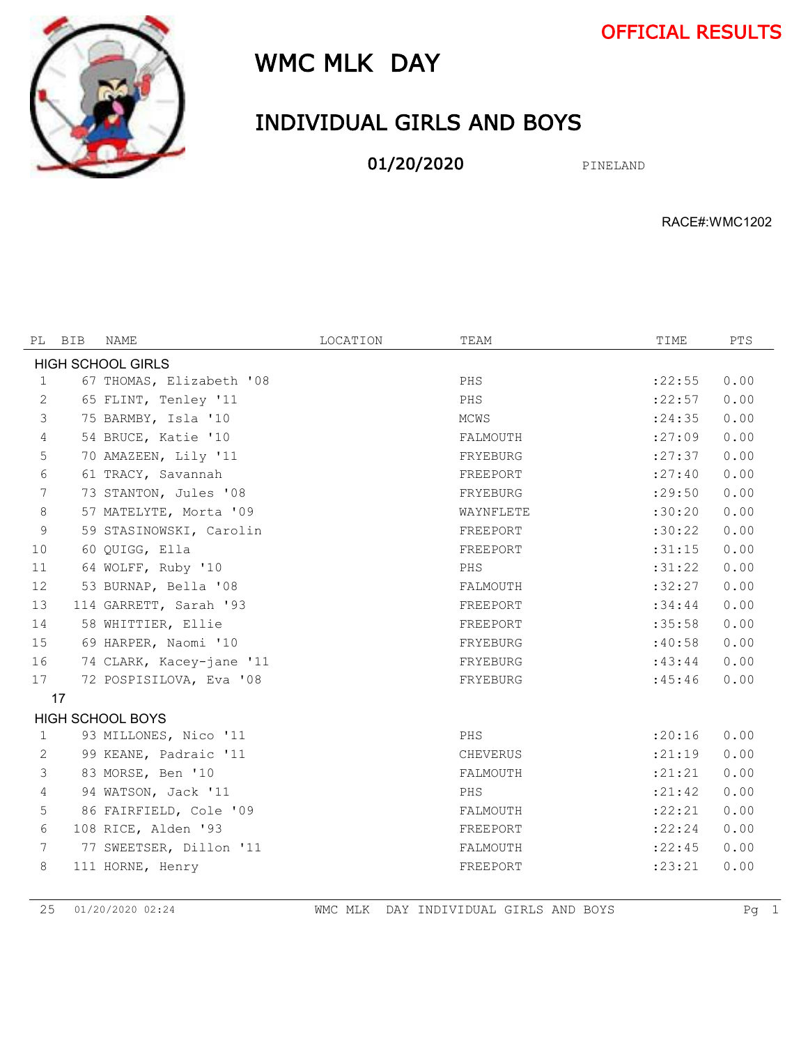OFFICIAL RESULTS



# WMC MLK DAY

## INDIVIDUAL GIRLS AND BOYS

01/20/2020 PINELAND

RACE#:WMC1202

| PL                       | <b>BIB</b> | NAME                     | LOCATION | TEAM      | TIME     | <b>PTS</b> |  |  |  |  |
|--------------------------|------------|--------------------------|----------|-----------|----------|------------|--|--|--|--|
| <b>HIGH SCHOOL GIRLS</b> |            |                          |          |           |          |            |  |  |  |  |
| 1                        |            | 67 THOMAS, Elizabeth '08 |          | PHS       | : 22:55  | 0.00       |  |  |  |  |
| 2                        |            | 65 FLINT, Tenley '11     |          | PHS       | : 22:57  | 0.00       |  |  |  |  |
| 3                        |            | 75 BARMBY, Isla '10      |          | MCWS      | : 24:35  | 0.00       |  |  |  |  |
| $\overline{4}$           |            | 54 BRUCE, Katie '10      |          | FALMOUTH  | : 27:09  | 0.00       |  |  |  |  |
| 5                        |            | 70 AMAZEEN, Lily '11     |          | FRYEBURG  | : 27:37  | 0.00       |  |  |  |  |
| 6                        |            | 61 TRACY, Savannah       |          | FREEPORT  | : 27:40  | 0.00       |  |  |  |  |
| 7                        |            | 73 STANTON, Jules '08    |          | FRYEBURG  | : 29:50  | 0.00       |  |  |  |  |
| 8                        |            | 57 MATELYTE, Morta '09   |          | WAYNFLETE | :30:20   | 0.00       |  |  |  |  |
| 9                        |            | 59 STASINOWSKI, Carolin  |          | FREEPORT  | :30:22   | 0.00       |  |  |  |  |
| 10                       |            | 60 QUIGG, Ella           |          | FREEPORT  | :31:15   | 0.00       |  |  |  |  |
| 11                       |            | 64 WOLFF, Ruby '10       |          | PHS       | :31:22   | 0.00       |  |  |  |  |
| 12                       |            | 53 BURNAP, Bella '08     |          | FALMOUTH  | :32:27   | 0.00       |  |  |  |  |
| 13                       |            | 114 GARRETT, Sarah '93   |          | FREEPORT  | :34:44   | 0.00       |  |  |  |  |
| 14                       |            | 58 WHITTIER, Ellie       |          | FREEPORT  | :35:58   | 0.00       |  |  |  |  |
| 15                       |            | 69 HARPER, Naomi '10     |          | FRYEBURG  | :40:58   | 0.00       |  |  |  |  |
| 16                       |            | 74 CLARK, Kacey-jane '11 |          | FRYEBURG  | :43:44   | 0.00       |  |  |  |  |
| 17                       |            | 72 POSPISILOVA, Eva '08  |          | FRYEBURG  | :45:46   | 0.00       |  |  |  |  |
|                          | 17         |                          |          |           |          |            |  |  |  |  |
|                          |            | <b>HIGH SCHOOL BOYS</b>  |          |           |          |            |  |  |  |  |
| $\mathbf{1}$             |            | 93 MILLONES, Nico '11    |          | PHS       | : 20:16  | 0.00       |  |  |  |  |
| 2                        |            | 99 KEANE, Padraic '11    |          | CHEVERUS  | : 21:19  | 0.00       |  |  |  |  |
| 3                        |            | 83 MORSE, Ben '10        |          | FALMOUTH  | : 21: 21 | 0.00       |  |  |  |  |
| $\overline{4}$           |            | 94 WATSON, Jack '11      |          | PHS       | : 21:42  | 0.00       |  |  |  |  |
| 5                        |            | 86 FAIRFIELD, Cole '09   |          | FALMOUTH  | : 22: 21 | 0.00       |  |  |  |  |
| 6                        |            | 108 RICE, Alden '93      |          | FREEPORT  | : 22:24  | 0.00       |  |  |  |  |
| 7                        |            | 77 SWEETSER, Dillon '11  |          | FALMOUTH  | : 22:45  | 0.00       |  |  |  |  |
| 8                        |            | 111 HORNE, Henry         |          | FREEPORT  | : 23: 21 | 0.00       |  |  |  |  |

01/20/2020 02:24 WMC MLK DAY INDIVIDUAL GIRLS AND BOYS Pg 1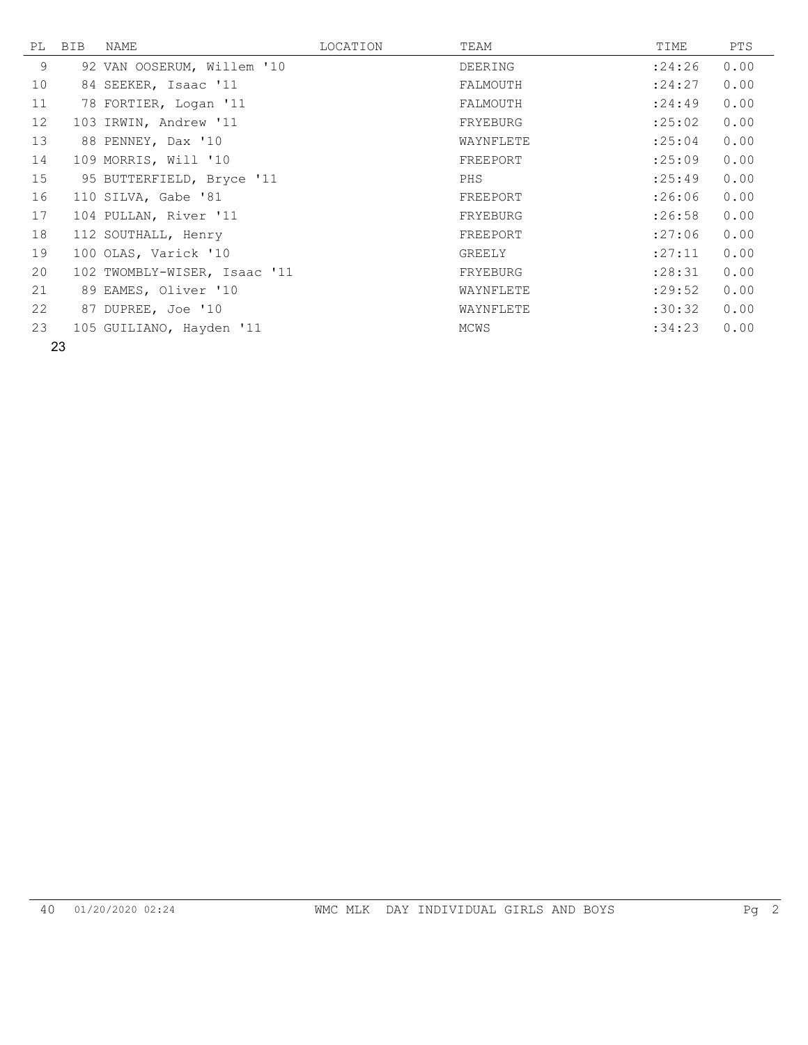| PL | BIB | NAME                         | LOCATION | TEAM      | TIME    | PTS  |
|----|-----|------------------------------|----------|-----------|---------|------|
| 9  |     | 92 VAN OOSERUM, Willem '10   |          | DEERING   | : 24:26 | 0.00 |
| 10 |     | 84 SEEKER, Isaac '11         |          | FALMOUTH  | : 24:27 | 0.00 |
| 11 |     | 78 FORTIER, Logan '11        |          | FALMOUTH  | : 24:49 | 0.00 |
| 12 |     | 103 IRWIN, Andrew '11        |          | FRYEBURG  | : 25:02 | 0.00 |
| 13 |     | 88 PENNEY, Dax '10           |          | WAYNFLETE | : 25:04 | 0.00 |
| 14 |     | 109 MORRIS, Will '10         |          | FREEPORT  | :25:09  | 0.00 |
| 15 |     | 95 BUTTERFIELD, Bryce '11    |          | PHS       | : 25:49 | 0.00 |
| 16 |     | 110 SILVA, Gabe '81          |          | FREEPORT  | :26:06  | 0.00 |
| 17 |     | 104 PULLAN, River '11        |          | FRYEBURG  | :26:58  | 0.00 |
| 18 |     | 112 SOUTHALL, Henry          |          | FREEPORT  | :27:06  | 0.00 |
| 19 |     | 100 OLAS, Varick '10         |          | GREELY    | : 27:11 | 0.00 |
| 20 |     | 102 TWOMBLY-WISER, Isaac '11 |          | FRYEBURG  | : 28:31 | 0.00 |
| 21 |     | 89 EAMES, Oliver '10         |          | WAYNFLETE | : 29:52 | 0.00 |
| 22 |     | 87 DUPREE, Joe '10           |          | WAYNFLETE | :30:32  | 0.00 |
| 23 |     | 105 GUILIANO, Hayden '11     |          | MCWS      | :34:23  | 0.00 |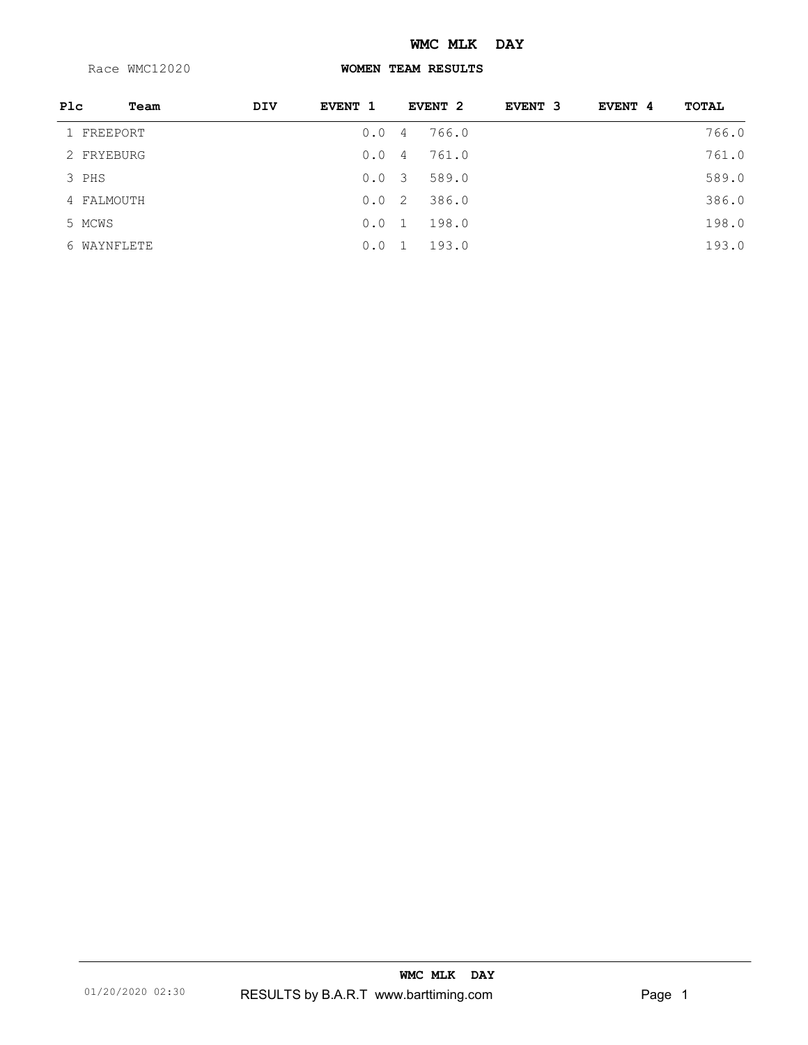#### **WMC MLK DAY**

Race WMC12020

#### **WOMEN TEAM RESULTS**

| Plc | Team        | DIV | EVENT 1 |                | EVENT <sub>2</sub> | EVENT 3 | EVENT 4 | TOTAL |
|-----|-------------|-----|---------|----------------|--------------------|---------|---------|-------|
|     | 1 FREEPORT  |     | 0.0     | 4              | 766.0              |         |         | 766.0 |
|     | 2 FRYEBURG  |     | 0.0     | 4              | 761.0              |         |         | 761.0 |
|     | 3 PHS       |     | 0.03    |                | 589.0              |         |         | 589.0 |
|     | 4 FALMOUTH  |     | 0.0     | $-2$           | 386.0              |         |         | 386.0 |
|     | 5 MCWS      |     | 0.0     | 1              | 198.0              |         |         | 198.0 |
|     | 6 WAYNFLETE |     | 0.0     | $\overline{1}$ | 193.0              |         |         | 193.0 |